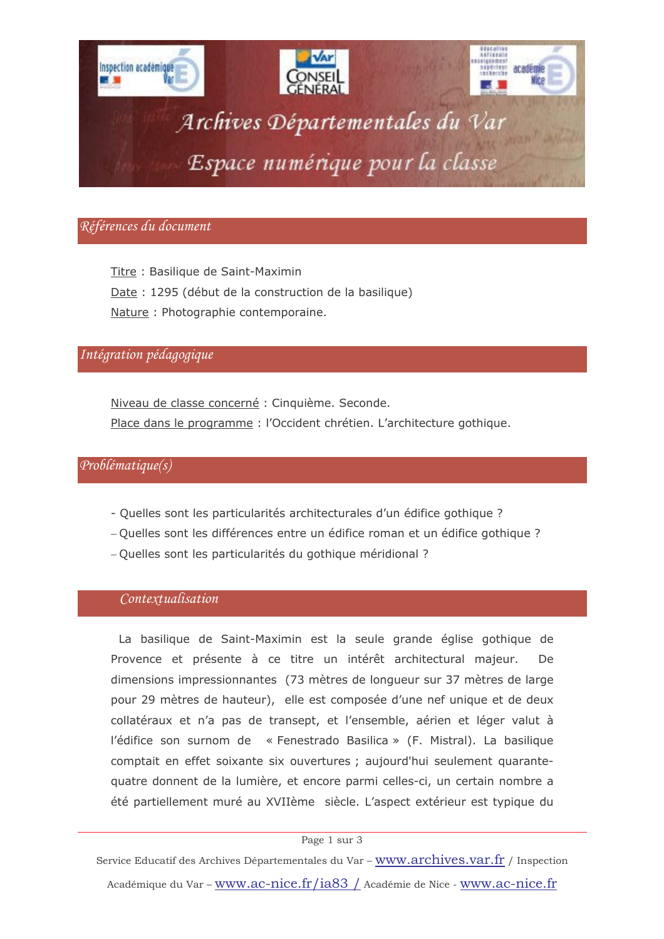

# Références du document

Titre: Basilique de Saint-Maximin Date : 1295 (début de la construction de la basilique) Nature: Photographie contemporaine.

# Intégration pédagogique

Niveau de classe concerné : Cinquième. Seconde. Place dans le programme : l'Occident chrétien. L'architecture gothique.

## $Problematique(s)$

- Quelles sont les particularités architecturales d'un édifice gothique ?
- Quelles sont les différences entre un édifice roman et un édifice gothique ?
- Quelles sont les particularités du gothique méridional ?

## Contextualisation

La basilique de Saint-Maximin est la seule grande église gothique de Provence et présente à ce titre un intérêt architectural majeur. **De** dimensions impressionnantes (73 mètres de longueur sur 37 mètres de large pour 29 mètres de hauteur), elle est composée d'une nef unique et de deux collatéraux et n'a pas de transept, et l'ensemble, aérien et léger valut à l'édifice son surnom de « Fenestrado Basilica » (F. Mistral). La basilique comptait en effet soixante six ouvertures ; aujourd'hui seulement quarantequatre donnent de la lumière, et encore parmi celles-ci, un certain nombre a été partiellement muré au XVIIème siècle. L'aspect extérieur est typique du

### Page 1 sur 3

Service Educatif des Archives Départementales du Var - www.archives.var.fr / Inspection Académique du Var - www.ac-nice.fr/ia83 / Académie de Nice - www.ac-nice.fr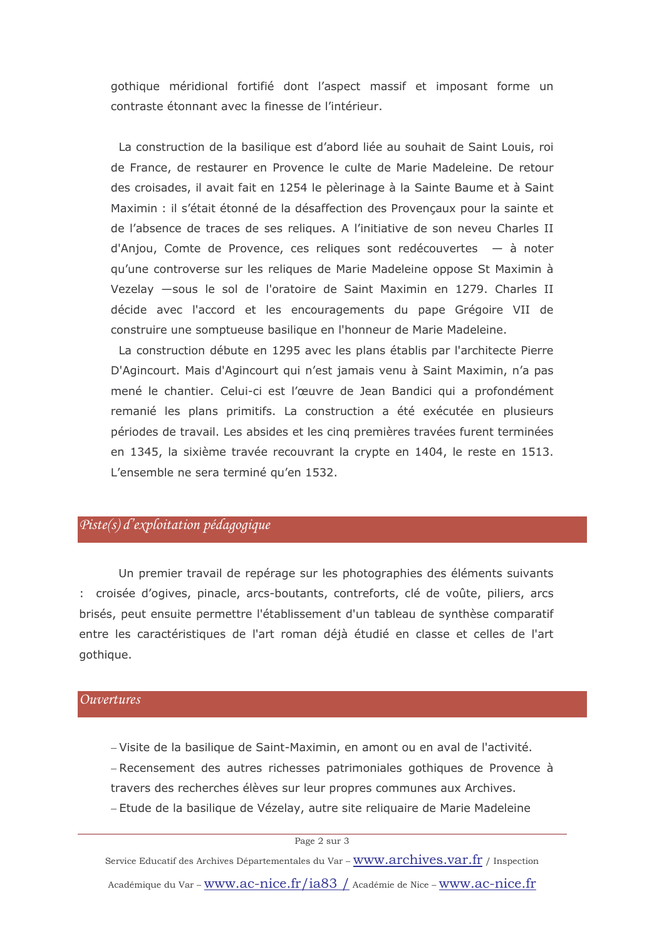gothique méridional fortifié dont l'aspect massif et imposant forme un contraste étonnant avec la finesse de l'intérieur.

La construction de la basilique est d'abord liée au souhait de Saint Louis, roi de France, de restaurer en Provence le culte de Marie Madeleine. De retour des croisades, il avait fait en 1254 le pèlerinage à la Sainte Baume et à Saint Maximin : il s'était étonné de la désaffection des Provencaux pour la sainte et de l'absence de traces de ses reliques. A l'initiative de son neveu Charles II d'Anjou, Comte de Provence, ces reliques sont redécouvertes - à noter gu'une controverse sur les reliques de Marie Madeleine oppose St Maximin à Vezelay -sous le sol de l'oratoire de Saint Maximin en 1279. Charles II décide avec l'accord et les encouragements du pape Grégoire VII de construire une somptueuse basilique en l'honneur de Marie Madeleine.

La construction débute en 1295 avec les plans établis par l'architecte Pierre D'Agincourt. Mais d'Agincourt qui n'est jamais venu à Saint Maximin, n'a pas mené le chantier. Celui-ci est l'œuvre de Jean Bandici qui a profondément remanié les plans primitifs. La construction a été exécutée en plusieurs périodes de travail. Les absides et les cinq premières travées furent terminées en 1345, la sixième travée recouvrant la crypte en 1404, le reste en 1513. L'ensemble ne sera terminé qu'en 1532.

## $Piste(s)$  d'exploitation pédagogique

Un premier travail de repérage sur les photographies des éléments suivants : croisée d'ogives, pinacle, arcs-boutants, contreforts, clé de voûte, piliers, arcs brisés, peut ensuite permettre l'établissement d'un tableau de synthèse comparatif entre les caractéristiques de l'art roman déjà étudié en classe et celles de l'art gothique.

### *<u>Ouvertures</u>*

-Visite de la basilique de Saint-Maximin, en amont ou en aval de l'activité. - Recensement des autres richesses patrimoniales gothiques de Provence à travers des recherches élèves sur leur propres communes aux Archives. - Etude de la basilique de Vézelay, autre site reliquaire de Marie Madeleine

### Page 2 sur 3

Service Educatif des Archives Départementales du Var - WWW.archives.var.fr / Inspection Académique du Var - WWW.ac-nice.fr/ia83 / Académie de Nice - WWW.ac-nice.fr